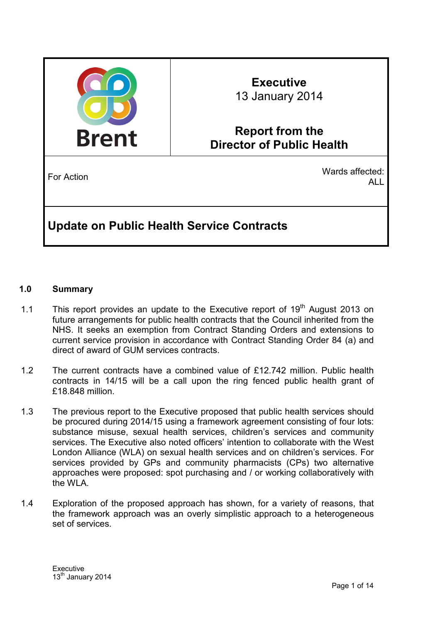

# **Executive**  13 January 2014

## **Report from the Director of Public Health**

For Action Wards affected: ALL

## **Update on Public Health Service Contracts**

## **1.0 Summary**

- 1.1 This report provides an update to the Executive report of  $19<sup>th</sup>$  August 2013 on future arrangements for public health contracts that the Council inherited from the NHS. It seeks an exemption from Contract Standing Orders and extensions to current service provision in accordance with Contract Standing Order 84 (a) and direct of award of GUM services contracts.
- 1.2 The current contracts have a combined value of £12.742 million. Public health contracts in 14/15 will be a call upon the ring fenced public health grant of £18.848 million.
- 1.3 The previous report to the Executive proposed that public health services should be procured during 2014/15 using a framework agreement consisting of four lots: substance misuse, sexual health services, children's services and community services. The Executive also noted officers' intention to collaborate with the West London Alliance (WLA) on sexual health services and on children's services. For services provided by GPs and community pharmacists (CPs) two alternative approaches were proposed: spot purchasing and / or working collaboratively with the WLA.
- 1.4 Exploration of the proposed approach has shown, for a variety of reasons, that the framework approach was an overly simplistic approach to a heterogeneous set of services.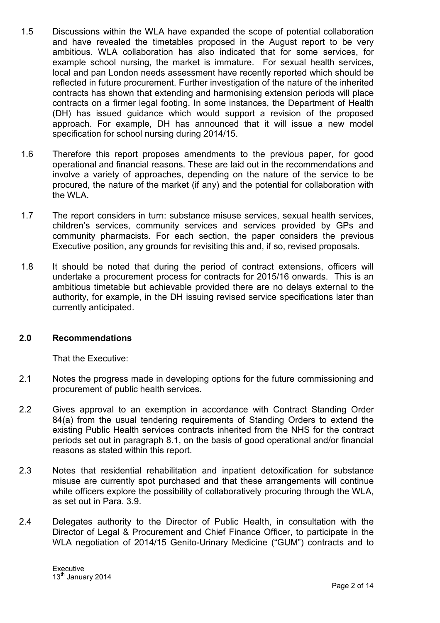- 1.5 Discussions within the WLA have expanded the scope of potential collaboration and have revealed the timetables proposed in the August report to be very ambitious. WLA collaboration has also indicated that for some services, for example school nursing, the market is immature. For sexual health services, local and pan London needs assessment have recently reported which should be reflected in future procurement. Further investigation of the nature of the inherited contracts has shown that extending and harmonising extension periods will place contracts on a firmer legal footing. In some instances, the Department of Health (DH) has issued guidance which would support a revision of the proposed approach. For example, DH has announced that it will issue a new model specification for school nursing during 2014/15.
- 1.6 Therefore this report proposes amendments to the previous paper, for good operational and financial reasons. These are laid out in the recommendations and involve a variety of approaches, depending on the nature of the service to be procured, the nature of the market (if any) and the potential for collaboration with the WLA.
- 1.7 The report considers in turn: substance misuse services, sexual health services, children's services, community services and services provided by GPs and community pharmacists. For each section, the paper considers the previous Executive position, any grounds for revisiting this and, if so, revised proposals.
- 1.8 It should be noted that during the period of contract extensions, officers will undertake a procurement process for contracts for 2015/16 onwards. This is an ambitious timetable but achievable provided there are no delays external to the authority, for example, in the DH issuing revised service specifications later than currently anticipated.

### **2.0 Recommendations**

That the Executive:

- 2.1 Notes the progress made in developing options for the future commissioning and procurement of public health services.
- 2.2 Gives approval to an exemption in accordance with Contract Standing Order 84(a) from the usual tendering requirements of Standing Orders to extend the existing Public Health services contracts inherited from the NHS for the contract periods set out in paragraph 8.1, on the basis of good operational and/or financial reasons as stated within this report.
- 2.3 Notes that residential rehabilitation and inpatient detoxification for substance misuse are currently spot purchased and that these arrangements will continue while officers explore the possibility of collaboratively procuring through the WLA, as set out in Para. 3.9.
- 2.4 Delegates authority to the Director of Public Health, in consultation with the Director of Legal & Procurement and Chief Finance Officer, to participate in the WLA negotiation of 2014/15 Genito-Urinary Medicine ("GUM") contracts and to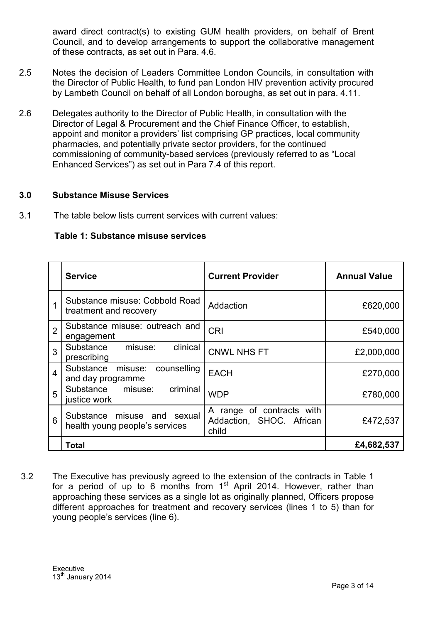award direct contract(s) to existing GUM health providers, on behalf of Brent Council, and to develop arrangements to support the collaborative management of these contracts, as set out in Para. 4.6.

- 2.5 Notes the decision of Leaders Committee London Councils, in consultation with the Director of Public Health, to fund pan London HIV prevention activity procured by Lambeth Council on behalf of all London boroughs, as set out in para. 4.11.
- 2.6 Delegates authority to the Director of Public Health, in consultation with the Director of Legal & Procurement and the Chief Finance Officer, to establish, appoint and monitor a providers' list comprising GP practices, local community pharmacies, and potentially private sector providers, for the continued commissioning of community-based services (previously referred to as "Local Enhanced Services") as set out in Para 7.4 of this report.

### **3.0 Substance Misuse Services**

3.1 The table below lists current services with current values:

|                | <b>Service</b>                                                | <b>Current Provider</b>                                        | <b>Annual Value</b> |
|----------------|---------------------------------------------------------------|----------------------------------------------------------------|---------------------|
| 1              | Substance misuse: Cobbold Road<br>treatment and recovery      | Addaction                                                      | £620,000            |
| $\overline{2}$ | Substance misuse: outreach and<br>engagement                  | <b>CRI</b>                                                     | £540,000            |
| 3              | clinical<br>Substance misuse:<br>prescribing                  | <b>CNWL NHS FT</b>                                             | £2,000,000          |
| $\overline{4}$ | counselling<br>Substance misuse:<br>and day programme         | <b>EACH</b>                                                    | £270,000            |
| 5              | criminal<br>Substance<br>misuse:<br>justice work              | <b>WDP</b>                                                     | £780,000            |
| 6              | Substance misuse and sexual<br>health young people's services | A range of contracts with<br>Addaction, SHOC. African<br>child | £472,537            |
|                | <b>Total</b>                                                  |                                                                | £4,682,537          |

#### **Table 1: Substance misuse services**

3.2 The Executive has previously agreed to the extension of the contracts in Table 1 for a period of up to 6 months from  $1<sup>st</sup>$  April 2014. However, rather than approaching these services as a single lot as originally planned, Officers propose different approaches for treatment and recovery services (lines 1 to 5) than for young people's services (line 6).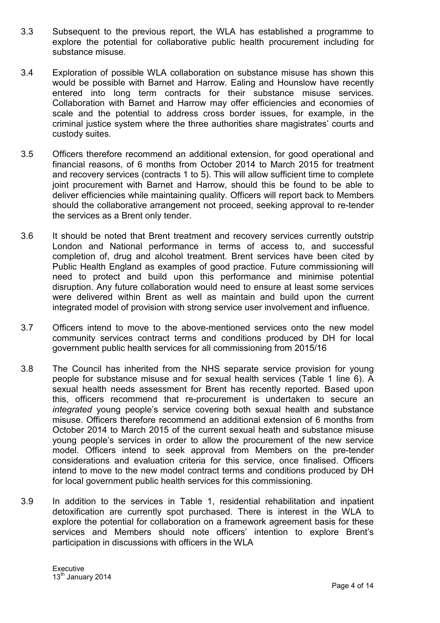- 3.3 Subsequent to the previous report, the WLA has established a programme to explore the potential for collaborative public health procurement including for substance misuse.
- 3.4 Exploration of possible WLA collaboration on substance misuse has shown this would be possible with Barnet and Harrow. Ealing and Hounslow have recently entered into long term contracts for their substance misuse services. Collaboration with Barnet and Harrow may offer efficiencies and economies of scale and the potential to address cross border issues, for example, in the criminal justice system where the three authorities share magistrates' courts and custody suites.
- 3.5 Officers therefore recommend an additional extension, for good operational and financial reasons, of 6 months from October 2014 to March 2015 for treatment and recovery services (contracts 1 to 5). This will allow sufficient time to complete joint procurement with Barnet and Harrow, should this be found to be able to deliver efficiencies while maintaining quality. Officers will report back to Members should the collaborative arrangement not proceed, seeking approval to re-tender the services as a Brent only tender.
- 3.6 It should be noted that Brent treatment and recovery services currently outstrip London and National performance in terms of access to, and successful completion of, drug and alcohol treatment. Brent services have been cited by Public Health England as examples of good practice. Future commissioning will need to protect and build upon this performance and minimise potential disruption. Any future collaboration would need to ensure at least some services were delivered within Brent as well as maintain and build upon the current integrated model of provision with strong service user involvement and influence.
- 3.7 Officers intend to move to the above-mentioned services onto the new model community services contract terms and conditions produced by DH for local government public health services for all commissioning from 2015/16
- 3.8 The Council has inherited from the NHS separate service provision for young people for substance misuse and for sexual health services (Table 1 line 6). A sexual health needs assessment for Brent has recently reported. Based upon this, officers recommend that re-procurement is undertaken to secure an *integrated* young people's service covering both sexual health and substance misuse. Officers therefore recommend an additional extension of 6 months from October 2014 to March 2015 of the current sexual heath and substance misuse young people's services in order to allow the procurement of the new service model. Officers intend to seek approval from Members on the pre-tender considerations and evaluation criteria for this service, once finalised. Officers intend to move to the new model contract terms and conditions produced by DH for local government public health services for this commissioning.
- 3.9 In addition to the services in Table 1, residential rehabilitation and inpatient detoxification are currently spot purchased. There is interest in the WLA to explore the potential for collaboration on a framework agreement basis for these services and Members should note officers' intention to explore Brent's participation in discussions with officers in the WLA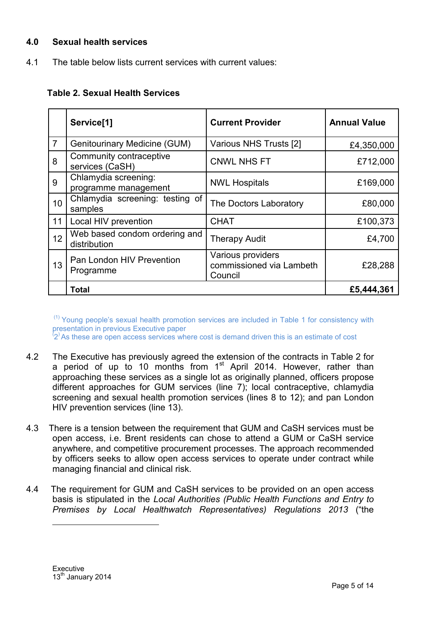## **4.0 Sexual health services**

4.1 The table below lists current services with current values:

## **Table 2. Sexual Health Services**

|                | Service <sup>[1]</sup>                        | <b>Current Provider</b>                                  | <b>Annual Value</b> |
|----------------|-----------------------------------------------|----------------------------------------------------------|---------------------|
| $\overline{7}$ | <b>Genitourinary Medicine (GUM)</b>           | Various NHS Trusts [2]                                   | £4,350,000          |
| 8              | Community contraceptive<br>services (CaSH)    | <b>CNWL NHS FT</b>                                       | £712,000            |
| 9              | Chlamydia screening:<br>programme management  | <b>NWL Hospitals</b>                                     | £169,000            |
| 10             | Chlamydia screening: testing of<br>samples    | The Doctors Laboratory                                   | £80,000             |
| 11             | Local HIV prevention                          | <b>CHAT</b>                                              | £100,373            |
| 12             | Web based condom ordering and<br>distribution | <b>Therapy Audit</b>                                     | £4,700              |
| 13             | Pan London HIV Prevention<br>Programme        | Various providers<br>commissioned via Lambeth<br>Council | £28,288             |
|                | <b>Total</b>                                  |                                                          | £5,444,361          |

 $(1)$  Young people's sexual health promotion services are included in Table 1 for consistency with presentation in previous Executive paper<br><sup>(</sup>2<sup>)</sup> As these are open access services where cost is demand driven this is an estimate of cost

- 4.2 The Executive has previously agreed the extension of the contracts in Table 2 for a period of up to 10 months from  $1<sup>st</sup>$  April 2014. However, rather than approaching these services as a single lot as originally planned, officers propose different approaches for GUM services (line 7); local contraceptive, chlamydia screening and sexual health promotion services (lines 8 to 12); and pan London HIV prevention services (line 13).
- 4.3 There is a tension between the requirement that GUM and CaSH services must be open access, i.e. Brent residents can chose to attend a GUM or CaSH service anywhere, and competitive procurement processes. The approach recommended by officers seeks to allow open access services to operate under contract while managing financial and clinical risk.
- 4.4 The requirement for GUM and CaSH services to be provided on an open access basis is stipulated in the *Local Authorities (Public Health Functions and Entry to Premises by Local Healthwatch Representatives) Regulations 2013* ("the

 $\overline{a}$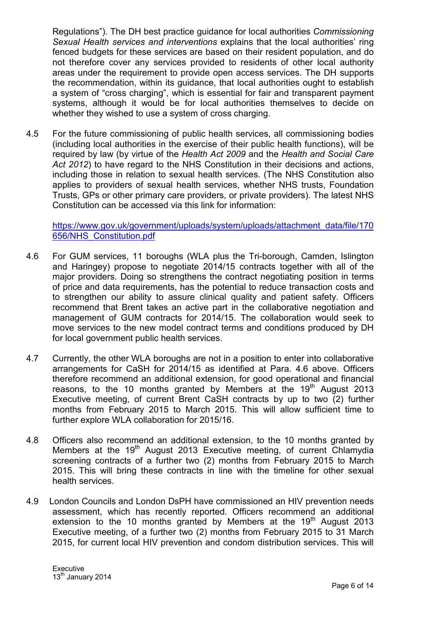Regulations"). The DH best practice guidance for local authorities *Commissioning Sexual Health services and interventions* explains that the local authorities' ring fenced budgets for these services are based on their resident population, and do not therefore cover any services provided to residents of other local authority areas under the requirement to provide open access services. The DH supports the recommendation, within its guidance, that local authorities ought to establish a system of "cross charging", which is essential for fair and transparent payment systems, although it would be for local authorities themselves to decide on whether they wished to use a system of cross charging.

4.5 For the future commissioning of public health services, all commissioning bodies (including local authorities in the exercise of their public health functions), will be required by law (by virtue of the *Health Act 2009* and the *Health and Social Care Act 2012*) to have regard to the NHS Constitution in their decisions and actions, including those in relation to sexual health services. (The NHS Constitution also applies to providers of sexual health services, whether NHS trusts, Foundation Trusts, GPs or other primary care providers, or private providers). The latest NHS Constitution can be accessed via this link for information:

https://www.gov.uk/government/uploads/system/uploads/attachment\_data/file/170 656/NHS\_Constitution.pdf

- 4.6 For GUM services, 11 boroughs (WLA plus the Tri-borough, Camden, Islington and Haringey) propose to negotiate 2014/15 contracts together with all of the major providers. Doing so strengthens the contract negotiating position in terms of price and data requirements, has the potential to reduce transaction costs and to strengthen our ability to assure clinical quality and patient safety. Officers recommend that Brent takes an active part in the collaborative negotiation and management of GUM contracts for 2014/15. The collaboration would seek to move services to the new model contract terms and conditions produced by DH for local government public health services.
- 4.7 Currently, the other WLA boroughs are not in a position to enter into collaborative arrangements for CaSH for 2014/15 as identified at Para. 4.6 above. Officers therefore recommend an additional extension, for good operational and financial reasons, to the 10 months granted by Members at the 19<sup>th</sup> August 2013 Executive meeting, of current Brent CaSH contracts by up to two (2) further months from February 2015 to March 2015. This will allow sufficient time to further explore WLA collaboration for 2015/16.
- 4.8 Officers also recommend an additional extension, to the 10 months granted by Members at the 19<sup>th</sup> August 2013 Executive meeting, of current Chlamydia screening contracts of a further two (2) months from February 2015 to March 2015. This will bring these contracts in line with the timeline for other sexual health services.
- 4.9 London Councils and London DsPH have commissioned an HIV prevention needs assessment, which has recently reported. Officers recommend an additional extension to the 10 months granted by Members at the  $19<sup>th</sup>$  August 2013 Executive meeting, of a further two (2) months from February 2015 to 31 March 2015, for current local HIV prevention and condom distribution services. This will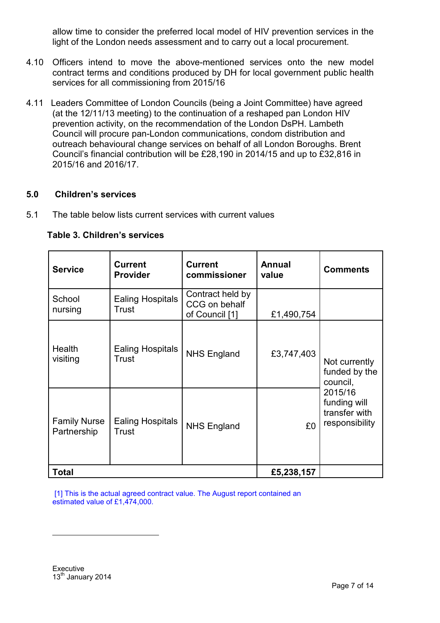allow time to consider the preferred local model of HIV prevention services in the light of the London needs assessment and to carry out a local procurement.

- 4.10 Officers intend to move the above-mentioned services onto the new model contract terms and conditions produced by DH for local government public health services for all commissioning from 2015/16
- 4.11 Leaders Committee of London Councils (being a Joint Committee) have agreed (at the 12/11/13 meeting) to the continuation of a reshaped pan London HIV prevention activity, on the recommendation of the London DsPH. Lambeth Council will procure pan-London communications, condom distribution and outreach behavioural change services on behalf of all London Boroughs. Brent Council's financial contribution will be £28,190 in 2014/15 and up to £32,816 in 2015/16 and 2016/17.

### **5.0 Children's services**

5.1 The table below lists current services with current values

| <b>Service</b>                     | <b>Current</b><br><b>Provider</b> | <b>Current</b><br>commissioner                      | <b>Annual</b><br>value | <b>Comments</b>                                            |  |
|------------------------------------|-----------------------------------|-----------------------------------------------------|------------------------|------------------------------------------------------------|--|
| School<br>nursing                  | <b>Ealing Hospitals</b><br>Trust  | Contract held by<br>CCG on behalf<br>of Council [1] | £1,490,754             |                                                            |  |
| <b>Health</b><br>visiting          | <b>Ealing Hospitals</b><br>Trust  | <b>NHS England</b>                                  | £3,747,403             | Not currently<br>funded by the<br>council,                 |  |
| <b>Family Nurse</b><br>Partnership | <b>Ealing Hospitals</b><br>Trust  | <b>NHS England</b>                                  | £0                     | 2015/16<br>funding will<br>transfer with<br>responsibility |  |
| <b>Total</b>                       |                                   | £5,238,157                                          |                        |                                                            |  |

### **Table 3. Children's services**

[1] This is the actual agreed contract value. The August report contained an estimated value of £1,474,000.

 $\overline{a}$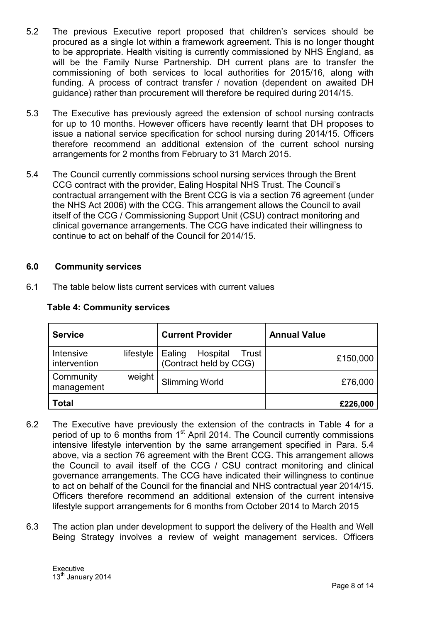- 5.2 The previous Executive report proposed that children's services should be procured as a single lot within a framework agreement. This is no longer thought to be appropriate. Health visiting is currently commissioned by NHS England, as will be the Family Nurse Partnership. DH current plans are to transfer the commissioning of both services to local authorities for 2015/16, along with funding. A process of contract transfer / novation (dependent on awaited DH guidance) rather than procurement will therefore be required during 2014/15.
- 5.3 The Executive has previously agreed the extension of school nursing contracts for up to 10 months. However officers have recently learnt that DH proposes to issue a national service specification for school nursing during 2014/15. Officers therefore recommend an additional extension of the current school nursing arrangements for 2 months from February to 31 March 2015.
- 5.4 The Council currently commissions school nursing services through the Brent CCG contract with the provider, Ealing Hospital NHS Trust. The Council's contractual arrangement with the Brent CCG is via a section 76 agreement (under the NHS Act 2006) with the CCG. This arrangement allows the Council to avail itself of the CCG / Commissioning Support Unit (CSU) contract monitoring and clinical governance arrangements. The CCG have indicated their willingness to continue to act on behalf of the Council for 2014/15.

### **6.0 Community services**

6.1 The table below lists current services with current values

| <b>Service</b>            |           | <b>Current Provider</b>                                 | <b>Annual Value</b> |
|---------------------------|-----------|---------------------------------------------------------|---------------------|
| Intensive<br>intervention | lifestyle | Ealing Hospital Trus<br>(Contract held by CCG)<br>Trust | £150,000            |
| Community<br>management   | weight    | <b>Slimming World</b>                                   | £76,000             |
| <b>Total</b>              |           |                                                         | £226,000            |

## **Table 4: Community services**

- 6.2 The Executive have previously the extension of the contracts in Table 4 for a period of up to 6 months from  $1<sup>st</sup>$  April 2014. The Council currently commissions intensive lifestyle intervention by the same arrangement specified in Para. 5.4 above, via a section 76 agreement with the Brent CCG. This arrangement allows the Council to avail itself of the CCG / CSU contract monitoring and clinical governance arrangements. The CCG have indicated their willingness to continue to act on behalf of the Council for the financial and NHS contractual year 2014/15. Officers therefore recommend an additional extension of the current intensive lifestyle support arrangements for 6 months from October 2014 to March 2015
- 6.3 The action plan under development to support the delivery of the Health and Well Being Strategy involves a review of weight management services. Officers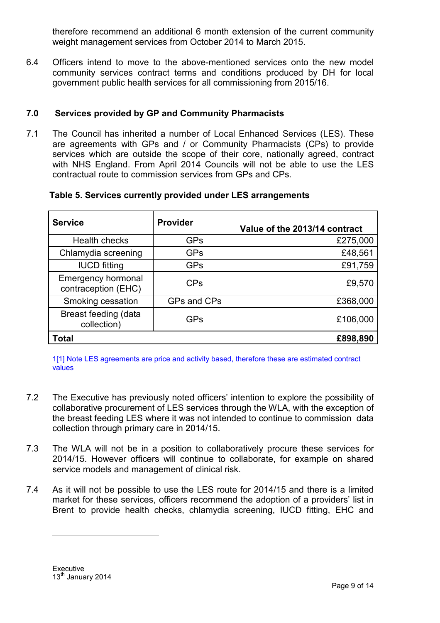therefore recommend an additional 6 month extension of the current community weight management services from October 2014 to March 2015.

6.4 Officers intend to move to the above-mentioned services onto the new model community services contract terms and conditions produced by DH for local government public health services for all commissioning from 2015/16.

## **7.0 Services provided by GP and Community Pharmacists**

7.1 The Council has inherited a number of Local Enhanced Services (LES). These are agreements with GPs and / or Community Pharmacists (CPs) to provide services which are outside the scope of their core, nationally agreed, contract with NHS England. From April 2014 Councils will not be able to use the LES contractual route to commission services from GPs and CPs.

| Table 5. Services currently provided under LES arrangements |  |
|-------------------------------------------------------------|--|
|-------------------------------------------------------------|--|

| <b>Service</b>                                   | <b>Provider</b> | Value of the 2013/14 contract |
|--------------------------------------------------|-----------------|-------------------------------|
| Health checks                                    | <b>GPs</b>      | £275,000                      |
| Chlamydia screening                              | <b>GPs</b>      | £48,561                       |
| <b>IUCD</b> fitting                              | <b>GPs</b>      | £91,759                       |
| <b>Emergency hormonal</b><br>contraception (EHC) | <b>CPs</b>      | £9,570                        |
| Smoking cessation                                | GPs and CPs     | £368,000                      |
| Breast feeding (data<br>collection)              | <b>GPs</b>      | £106,000                      |
| <b>Total</b>                                     |                 | £898,890                      |

1[1] Note LES agreements are price and activity based, therefore these are estimated contract values

- 7.2 The Executive has previously noted officers' intention to explore the possibility of collaborative procurement of LES services through the WLA, with the exception of the breast feeding LES where it was not intended to continue to commission data collection through primary care in 2014/15.
- 7.3 The WLA will not be in a position to collaboratively procure these services for 2014/15. However officers will continue to collaborate, for example on shared service models and management of clinical risk.
- 7.4 As it will not be possible to use the LES route for 2014/15 and there is a limited market for these services, officers recommend the adoption of a providers' list in Brent to provide health checks, chlamydia screening, IUCD fitting, EHC and

 $\overline{a}$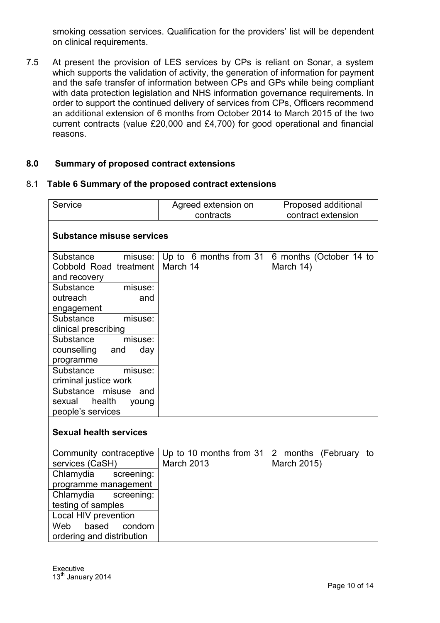smoking cessation services. Qualification for the providers' list will be dependent on clinical requirements.

7.5 At present the provision of LES services by CPs is reliant on Sonar, a system which supports the validation of activity, the generation of information for payment and the safe transfer of information between CPs and GPs while being compliant with data protection legislation and NHS information governance requirements. In order to support the continued delivery of services from CPs, Officers recommend an additional extension of 6 months from October 2014 to March 2015 of the two current contracts (value £20,000 and £4,700) for good operational and financial reasons.

## **8.0 Summary of proposed contract extensions**

#### 8.1 **Table 6 Summary of the proposed contract extensions**

| Service                                                                                                                                                                                                                                                                                                                                                                    | Agreed extension on<br>Proposed additional<br>contract extension<br>contracts |                                      |  |  |
|----------------------------------------------------------------------------------------------------------------------------------------------------------------------------------------------------------------------------------------------------------------------------------------------------------------------------------------------------------------------------|-------------------------------------------------------------------------------|--------------------------------------|--|--|
|                                                                                                                                                                                                                                                                                                                                                                            | <b>Substance misuse services</b>                                              |                                      |  |  |
| Substance<br>misuse:<br>Cobbold Road treatment<br>and recovery<br>Substance<br>misuse:<br>outreach<br>and<br>engagement<br>Substance<br>misuse:<br>clinical prescribing<br>Substance<br>misuse:<br>day<br>counselling<br>and<br>programme<br>Substance<br>misuse:<br>criminal justice work<br>Substance<br>misuse<br>and<br>sexual<br>health<br>young<br>people's services | Up to 6 months from 31<br>March 14                                            | 6 months (October 14 to<br>March 14) |  |  |
| <b>Sexual health services</b>                                                                                                                                                                                                                                                                                                                                              |                                                                               |                                      |  |  |
| Community contraceptive<br>services (CaSH)<br>Chlamydia<br>screening:<br>programme management<br>Chlamydia<br>screening:<br>testing of samples<br>Local HIV prevention<br>based<br>Web<br>condom<br>ordering and distribution                                                                                                                                              | Up to 10 months from 31<br><b>March 2013</b>                                  | 2 months (February to<br>March 2015) |  |  |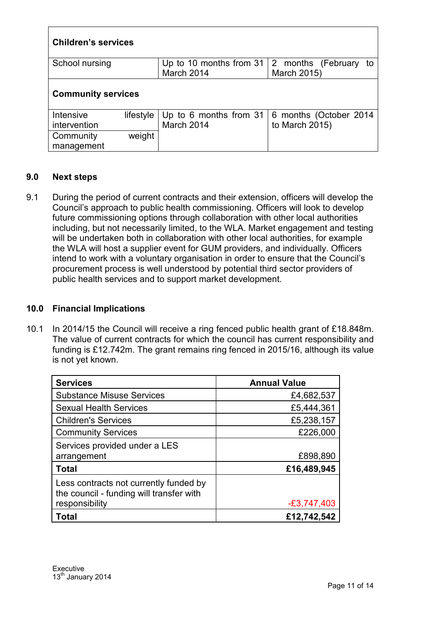| <b>Children's services</b> |           |                                                   |                        |  |  |
|----------------------------|-----------|---------------------------------------------------|------------------------|--|--|
| School nursing             |           | Up to 10 months from $31 \mid 2$ months (February | to                     |  |  |
|                            |           | March 2014                                        | March 2015)            |  |  |
| <b>Community services</b>  |           |                                                   |                        |  |  |
| Intensive                  | lifestyle | Up to 6 months from 31                            | 6 months (October 2014 |  |  |
| intervention               |           | March 2014                                        | to March 2015)         |  |  |
| Community                  | weight    |                                                   |                        |  |  |
| management                 |           |                                                   |                        |  |  |

## **9.0 Next steps**

9.1 During the period of current contracts and their extension, officers will develop the Council's approach to public health commissioning. Officers will look to develop future commissioning options through collaboration with other local authorities including, but not necessarily limited, to the WLA. Market engagement and testing will be undertaken both in collaboration with other local authorities, for example the WLA will host a supplier event for GUM providers, and individually. Officers intend to work with a voluntary organisation in order to ensure that the Council's procurement process is well understood by potential third sector providers of public health services and to support market development.

## **10.0 Financial Implications**

10.1 In 2014/15 the Council will receive a ring fenced public health grant of £18.848m. The value of current contracts for which the council has current responsibility and funding is £12.742m. The grant remains ring fenced in 2015/16, although its value is not yet known.

| <b>Services</b>                                                                    | <b>Annual Value</b> |
|------------------------------------------------------------------------------------|---------------------|
| <b>Substance Misuse Services</b>                                                   | £4,682,537          |
| <b>Sexual Health Services</b>                                                      | £5,444,361          |
| <b>Children's Services</b>                                                         | £5,238,157          |
| <b>Community Services</b>                                                          | £226,000            |
| Services provided under a LES                                                      |                     |
| arrangement                                                                        | £898,890            |
| <b>Total</b>                                                                       | £16,489,945         |
| Less contracts not currently funded by<br>the council - funding will transfer with |                     |
| responsibility                                                                     | $-£3,747,403$       |
| Total                                                                              | £12,742,542         |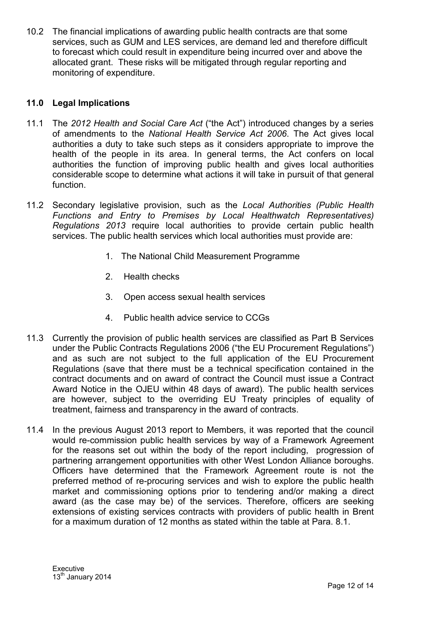10.2 The financial implications of awarding public health contracts are that some services, such as GUM and LES services, are demand led and therefore difficult to forecast which could result in expenditure being incurred over and above the allocated grant. These risks will be mitigated through regular reporting and monitoring of expenditure.

## **11.0 Legal Implications**

- 11.1 The *2012 Health and Social Care Act* ("the Act") introduced changes by a series of amendments to the *National Health Service Act 2006*. The Act gives local authorities a duty to take such steps as it considers appropriate to improve the health of the people in its area. In general terms, the Act confers on local authorities the function of improving public health and gives local authorities considerable scope to determine what actions it will take in pursuit of that general function.
- 11.2 Secondary legislative provision, such as the *Local Authorities (Public Health Functions and Entry to Premises by Local Healthwatch Representatives) Regulations 2013* require local authorities to provide certain public health services. The public health services which local authorities must provide are:
	- 1. The National Child Measurement Programme
	- 2. Health checks
	- 3. Open access sexual health services
	- 4. Public health advice service to CCGs
- 11.3 Currently the provision of public health services are classified as Part B Services under the Public Contracts Regulations 2006 ("the EU Procurement Regulations") and as such are not subject to the full application of the EU Procurement Regulations (save that there must be a technical specification contained in the contract documents and on award of contract the Council must issue a Contract Award Notice in the OJEU within 48 days of award). The public health services are however, subject to the overriding EU Treaty principles of equality of treatment, fairness and transparency in the award of contracts.
- 11.4 In the previous August 2013 report to Members, it was reported that the council would re-commission public health services by way of a Framework Agreement for the reasons set out within the body of the report including, progression of partnering arrangement opportunities with other West London Alliance boroughs. Officers have determined that the Framework Agreement route is not the preferred method of re-procuring services and wish to explore the public health market and commissioning options prior to tendering and/or making a direct award (as the case may be) of the services. Therefore, officers are seeking extensions of existing services contracts with providers of public health in Brent for a maximum duration of 12 months as stated within the table at Para. 8.1.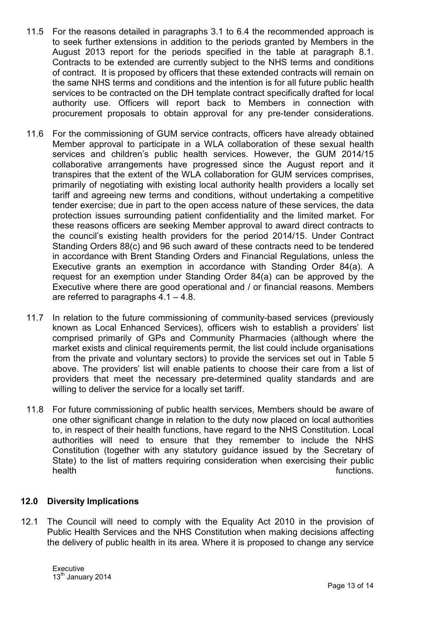- 11.5 For the reasons detailed in paragraphs 3.1 to 6.4 the recommended approach is to seek further extensions in addition to the periods granted by Members in the August 2013 report for the periods specified in the table at paragraph 8.1. Contracts to be extended are currently subject to the NHS terms and conditions of contract. It is proposed by officers that these extended contracts will remain on the same NHS terms and conditions and the intention is for all future public health services to be contracted on the DH template contract specifically drafted for local authority use. Officers will report back to Members in connection with procurement proposals to obtain approval for any pre-tender considerations.
- 11.6 For the commissioning of GUM service contracts, officers have already obtained Member approval to participate in a WLA collaboration of these sexual health services and children's public health services. However, the GUM 2014/15 collaborative arrangements have progressed since the August report and it transpires that the extent of the WLA collaboration for GUM services comprises, primarily of negotiating with existing local authority health providers a locally set tariff and agreeing new terms and conditions, without undertaking a competitive tender exercise; due in part to the open access nature of these services, the data protection issues surrounding patient confidentiality and the limited market. For these reasons officers are seeking Member approval to award direct contracts to the council's existing health providers for the period 2014/15. Under Contract Standing Orders 88(c) and 96 such award of these contracts need to be tendered in accordance with Brent Standing Orders and Financial Regulations, unless the Executive grants an exemption in accordance with Standing Order 84(a). A request for an exemption under Standing Order 84(a) can be approved by the Executive where there are good operational and / or financial reasons. Members are referred to paragraphs  $4.1 - 4.8$ .
- 11.7 In relation to the future commissioning of community-based services (previously known as Local Enhanced Services), officers wish to establish a providers' list comprised primarily of GPs and Community Pharmacies (although where the market exists and clinical requirements permit, the list could include organisations from the private and voluntary sectors) to provide the services set out in Table 5 above. The providers' list will enable patients to choose their care from a list of providers that meet the necessary pre-determined quality standards and are willing to deliver the service for a locally set tariff.
- 11.8 For future commissioning of public health services, Members should be aware of one other significant change in relation to the duty now placed on local authorities to, in respect of their health functions, have regard to the NHS Constitution. Local authorities will need to ensure that they remember to include the NHS Constitution (together with any statutory guidance issued by the Secretary of State) to the list of matters requiring consideration when exercising their public health functions.

## **12.0 Diversity Implications**

12.1 The Council will need to comply with the Equality Act 2010 in the provision of Public Health Services and the NHS Constitution when making decisions affecting the delivery of public health in its area. Where it is proposed to change any service

Executive 13<sup>th</sup> January 2014